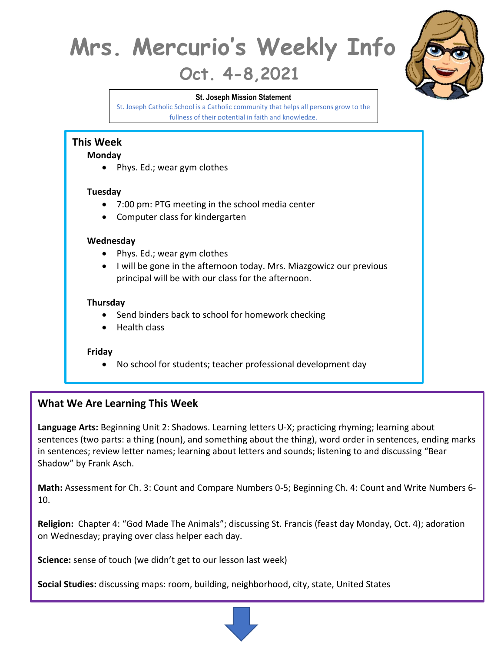# **Mrs. Mercurio's Weekly Info**

# **Oct. 4-8,2021**

#### **St. Joseph Mission Statement**

St. Joseph Catholic School is a Catholic community that helps all persons grow to the fullness of their potential in faith and knowledge.



### **Monday**

• Phys. Ed.; wear gym clothes

#### **Tuesday**

- 7:00 pm: PTG meeting in the school media center
- Computer class for kindergarten

#### **Wednesday**

- Phys. Ed.; wear gym clothes
- I will be gone in the afternoon today. Mrs. Miazgowicz our previous principal will be with our class for the afternoon.

#### **Thursday**

- Send binders back to school for homework checking
- Health class

#### **Friday**

• No school for students; teacher professional development day

# **What We Are Learning This Week**

**Language Arts:** Beginning Unit 2: Shadows. Learning letters U-X; practicing rhyming; learning about sentences (two parts: a thing (noun), and something about the thing), word order in sentences, ending marks in sentences; review letter names; learning about letters and sounds; listening to and discussing "Bear Shadow" by Frank Asch.

**Math:** Assessment for Ch. 3: Count and Compare Numbers 0-5; Beginning Ch. 4: Count and Write Numbers 6- 10.

**Religion:** Chapter 4: "God Made The Animals"; discussing St. Francis (feast day Monday, Oct. 4); adoration on Wednesday; praying over class helper each day.

**Science:** sense of touch (we didn't get to our lesson last week)

**Social Studies:** discussing maps: room, building, neighborhood, city, state, United States